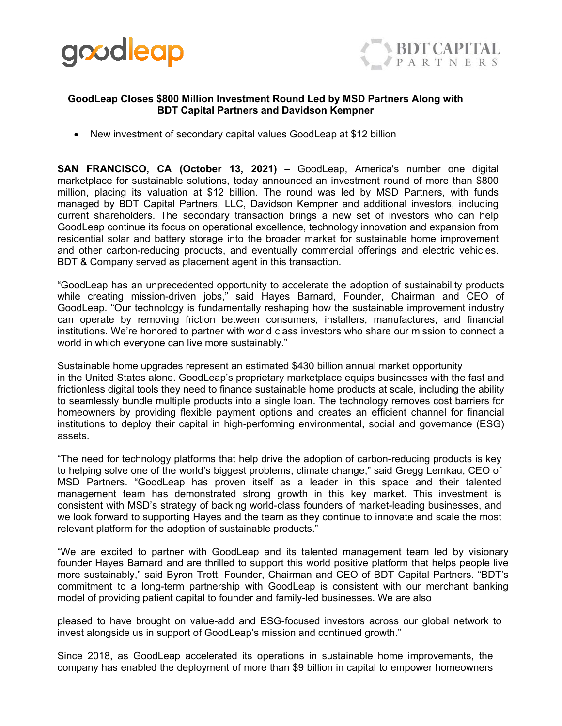



#### **GoodLeap Closes \$800 Million Investment Round Led by MSD Partners Along with BDT Capital Partners and Davidson Kempner**

• New investment of secondary capital values GoodLeap at \$12 billion

**SAN FRANCISCO, CA (October 13, 2021)** – GoodLeap, America's number one digital marketplace for sustainable solutions, today announced an investment round of more than \$800 million, placing its valuation at \$12 billion. The round was led by MSD Partners, with funds managed by BDT Capital Partners, LLC, Davidson Kempner and additional investors, including current shareholders. The secondary transaction brings a new set of investors who can help GoodLeap continue its focus on operational excellence, technology innovation and expansion from residential solar and battery storage into the broader market for sustainable home improvement and other carbon-reducing products, and eventually commercial offerings and electric vehicles. BDT & Company served as placement agent in this transaction.

"GoodLeap has an unprecedented opportunity to accelerate the adoption of sustainability products while creating mission-driven jobs," said Hayes Barnard, Founder, Chairman and CEO of GoodLeap. "Our technology is fundamentally reshaping how the sustainable improvement industry can operate by removing friction between consumers, installers, manufactures, and financial institutions. We're honored to partner with world class investors who share our mission to connect a world in which everyone can live more sustainably."

Sustainable home upgrades represent an estimated \$430 billion annual market opportunity in the United States alone. GoodLeap's proprietary marketplace equips businesses with the fast and frictionless digital tools they need to finance sustainable home products at scale, including the ability to seamlessly bundle multiple products into a single loan. The technology removes cost barriers for homeowners by providing flexible payment options and creates an efficient channel for financial institutions to deploy their capital in high-performing environmental, social and governance (ESG) assets.

"The need for technology platforms that help drive the adoption of carbon-reducing products is key to helping solve one of the world's biggest problems, climate change," said Gregg Lemkau, CEO of MSD Partners. "GoodLeap has proven itself as a leader in this space and their talented management team has demonstrated strong growth in this key market. This investment is consistent with MSD's strategy of backing world-class founders of market-leading businesses, and we look forward to supporting Hayes and the team as they continue to innovate and scale the most relevant platform for the adoption of sustainable products."

"We are excited to partner with GoodLeap and its talented management team led by visionary founder Hayes Barnard and are thrilled to support this world positive platform that helps people live more sustainably," said Byron Trott, Founder, Chairman and CEO of BDT Capital Partners. "BDT's commitment to a long-term partnership with GoodLeap is consistent with our merchant banking model of providing patient capital to founder and family-led businesses. We are also

pleased to have brought on value-add and ESG-focused investors across our global network to invest alongside us in support of GoodLeap's mission and continued growth."

Since 2018, as GoodLeap accelerated its operations in sustainable home improvements, the company has enabled the deployment of more than \$9 billion in capital to empower homeowners